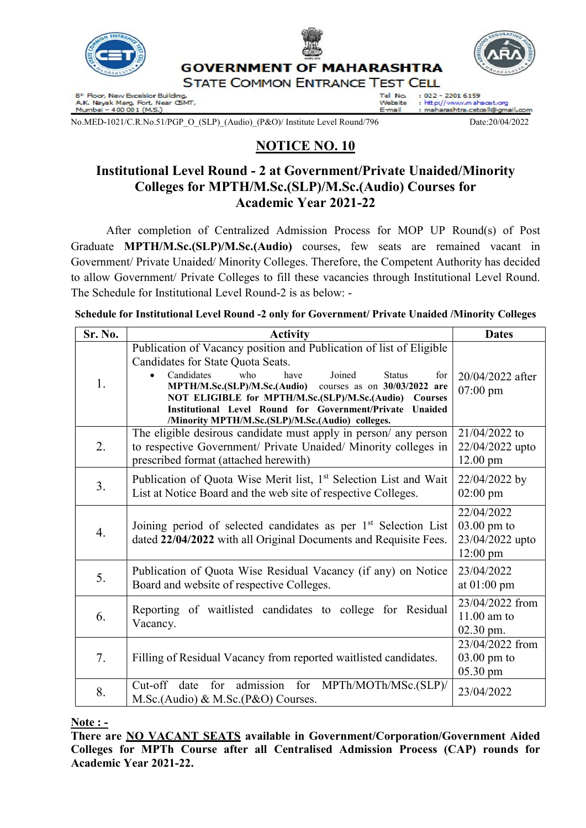

8ª Floor, New Excelsior Building,<br>A.K. Nayak Marg, Fort, Near CSMT,<br>Mumbai – 400 001 (M.S.)

: http://www.mahacet.org Website

F-mail : maharashtra.cetœll@gm

No.MED-1021/C.R.No.51/PGP\_O\_(SLP)\_(Audio)\_(P&O)/ Institute Level Round/796 Date:20/04/2022

ail.com

# NOTICE NO. 10

## Institutional Level Round - 2 at Government/Private Unaided/Minority Colleges for MPTH/M.Sc.(SLP)/M.Sc.(Audio) Courses for Academic Year 2021-22

 After completion of Centralized Admission Process for MOP UP Round(s) of Post Graduate MPTH/M.Sc.(SLP)/M.Sc.(Audio) courses, few seats are remained vacant in Government/ Private Unaided/ Minority Colleges. Therefore, the Competent Authority has decided to allow Government/ Private Colleges to fill these vacancies through Institutional Level Round. The Schedule for Institutional Level Round-2 is as below: -

Schedule for Institutional Level Round -2 only for Government/ Private Unaided /Minority Colleges

| Sr. No. | <b>Activity</b>                                                                                                                                                                                                                                                                                                                                                                                                    | <b>Dates</b>                                                                 |
|---------|--------------------------------------------------------------------------------------------------------------------------------------------------------------------------------------------------------------------------------------------------------------------------------------------------------------------------------------------------------------------------------------------------------------------|------------------------------------------------------------------------------|
| 1.      | Publication of Vacancy position and Publication of list of Eligible<br>Candidates for State Quota Seats.<br>Candidates<br>who<br>Joined<br>have<br><b>Status</b><br>for<br>MPTH/M.Sc.(SLP)/M.Sc.(Audio)<br>courses as on $30/03/2022$ are<br>NOT ELIGIBLE for MPTH/M.Sc.(SLP)/M.Sc.(Audio) Courses<br>Institutional Level Round for Government/Private Unaided<br>/Minority MPTH/M.Sc.(SLP)/M.Sc.(Audio) colleges. | 20/04/2022 after<br>$07:00 \text{ pm}$                                       |
| 2.      | The eligible desirous candidate must apply in person/ any person<br>to respective Government/ Private Unaided/ Minority colleges in<br>prescribed format (attached herewith)                                                                                                                                                                                                                                       | 21/04/2022 to<br>22/04/2022 upto<br>$12.00$ pm                               |
| 3.      | Publication of Quota Wise Merit list, 1 <sup>st</sup> Selection List and Wait<br>List at Notice Board and the web site of respective Colleges.                                                                                                                                                                                                                                                                     | 22/04/2022 by<br>$02:00 \text{ pm}$                                          |
| 4.      | Joining period of selected candidates as per 1 <sup>st</sup> Selection List<br>dated 22/04/2022 with all Original Documents and Requisite Fees.                                                                                                                                                                                                                                                                    | 22/04/2022<br>$03.00 \text{ pm}$ to<br>23/04/2022 upto<br>$12:00 \text{ pm}$ |
| 5.      | Publication of Quota Wise Residual Vacancy (if any) on Notice<br>Board and website of respective Colleges.                                                                                                                                                                                                                                                                                                         | 23/04/2022<br>at $01:00$ pm                                                  |
| 6.      | Reporting of waitlisted candidates to college for Residual<br>Vacancy.                                                                                                                                                                                                                                                                                                                                             | 23/04/2022 from<br>$11.00$ am to<br>02.30 pm.                                |
| 7.      | Filling of Residual Vacancy from reported waitlisted candidates.                                                                                                                                                                                                                                                                                                                                                   | 23/04/2022 from<br>$03.00$ pm to<br>05.30 pm                                 |
| 8.      | for admission for MPTh/MOTh/MSc.(SLP)/<br>Cut-off<br>date<br>M.Sc.(Audio) & M.Sc.(P&O) Courses.                                                                                                                                                                                                                                                                                                                    | 23/04/2022                                                                   |

Note : -

There are NO VACANT SEATS available in Government/Corporation/Government Aided Colleges for MPTh Course after all Centralised Admission Process (CAP) rounds for Academic Year 2021-22.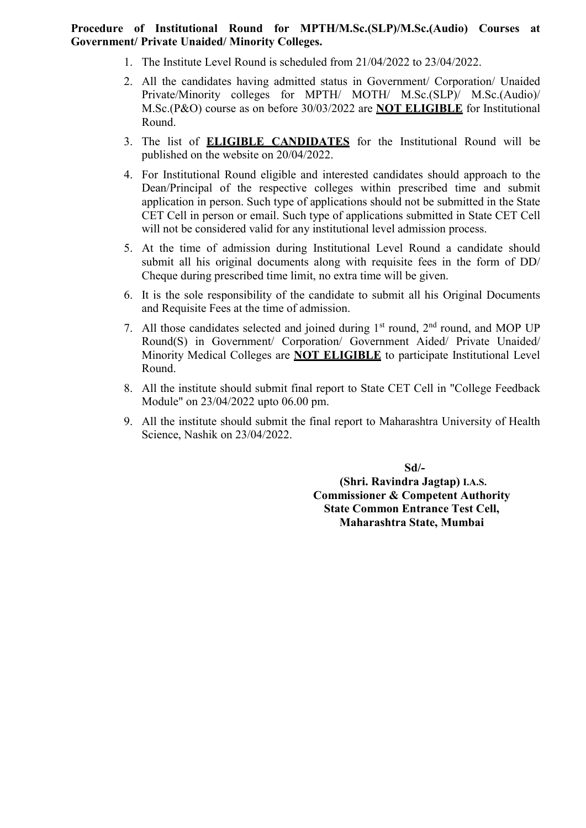#### Procedure of Institutional Round for MPTH/M.Sc.(SLP)/M.Sc.(Audio) Courses at Government/ Private Unaided/ Minority Colleges.

- 1. The Institute Level Round is scheduled from 21/04/2022 to 23/04/2022.
- 2. All the candidates having admitted status in Government/ Corporation/ Unaided Private/Minority colleges for MPTH/ MOTH/ M.Sc.(SLP)/ M.Sc.(Audio)/ M.Sc.(P&O) course as on before 30/03/2022 are NOT ELIGIBLE for Institutional Round.
- 3. The list of ELIGIBLE CANDIDATES for the Institutional Round will be published on the website on 20/04/2022.
- 4. For Institutional Round eligible and interested candidates should approach to the Dean/Principal of the respective colleges within prescribed time and submit application in person. Such type of applications should not be submitted in the State CET Cell in person or email. Such type of applications submitted in State CET Cell will not be considered valid for any institutional level admission process.
- 5. At the time of admission during Institutional Level Round a candidate should submit all his original documents along with requisite fees in the form of DD/ Cheque during prescribed time limit, no extra time will be given.
- 6. It is the sole responsibility of the candidate to submit all his Original Documents and Requisite Fees at the time of admission.
- 7. All those candidates selected and joined during  $1<sup>st</sup>$  round,  $2<sup>nd</sup>$  round, and MOP UP Round(S) in Government/ Corporation/ Government Aided/ Private Unaided/ Minority Medical Colleges are **NOT ELIGIBLE** to participate Institutional Level Round.
- 8. All the institute should submit final report to State CET Cell in "College Feedback Module" on 23/04/2022 upto 06.00 pm.
- 9. All the institute should submit the final report to Maharashtra University of Health Science, Nashik on 23/04/2022.

 Sd/- (Shri. Ravindra Jagtap) I.A.S. Commissioner & Competent Authority State Common Entrance Test Cell, Maharashtra State, Mumbai